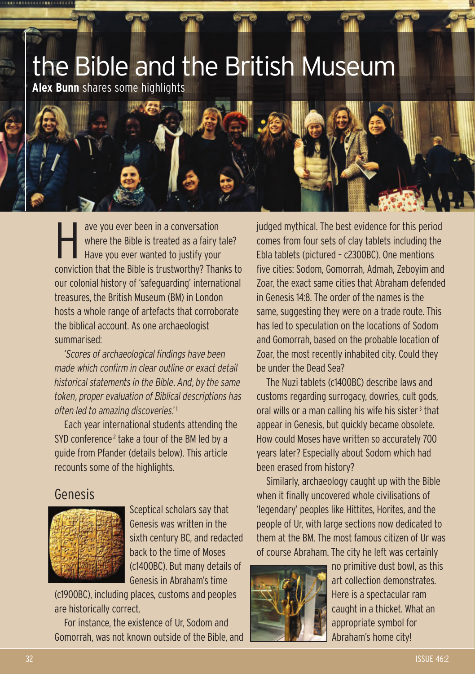

ave you ever been in a conversation<br>where the Bible is treated as a fairy<br>Have you ever wanted to justify you where the Bible is treated as a fairy tale? Have you ever wanted to justify your conviction that the Bible is trustworthy? Thanks to our colonial history of 'safeguarding' international treasures, the British Museum (BM) in London hosts a whole range of artefacts that corroborate the biblical account. As one archaeologist summarised:

'*Scores of archaeological findings have been made which confirm in clear outline or exact detail historical statements in the Bible. And, by the same token, proper evaluation of Biblical descriptions has often led to amazing discoveries*.' <sup>1</sup>

Each year international students attending the SYD conference<sup>2</sup> take a tour of the BM led by a guide from Pfander (details below). This article recounts some of the highlights.

#### Genesis



Sceptical scholars say that Genesis was written in the sixth century BC, and redacted back to the time of Moses (c1400BC). But many details of Genesis in Abraham's time

(c1900BC), including places, customs and peoples are historically correct.

For instance, the existence of Ur, Sodom and Gomorrah, was not known outside of the Bible, and judged mythical. The best evidence for this period comes from four sets of clay tablets including the Ebla tablets (pictured – c2300BC). One mentions five cities: Sodom, Gomorrah, Admah, Zeboyim and Zoar, the exact same cities that Abraham defended in Genesis 14:8. The order of the names is the same, suggesting they were on a trade route. This has led to speculation on the locations of Sodom and Gomorrah, based on the probable location of Zoar, the most recently inhabited city. Could they be under the Dead Sea?

The Nuzi tablets (c1400BC) describe laws and customs regarding surrogacy, dowries, cult gods, oral wills or a man calling his wife his sister <sup>3</sup> that appear in Genesis, but quickly became obsolete. How could Moses have written so accurately 700 years later? Especially about Sodom which had been erased from history?

Similarly, archaeology caught up with the Bible when it finally uncovered whole civilisations of 'legendary' peoples like Hittites, Horites, and the people of Ur, with large sections now dedicated to them at the BM. The most famous citizen of Ur was of course Abraham. The city he left was certainly



no primitive dust bowl, as this art collection demonstrates. Here is a spectacular ram caught in a thicket. What an appropriate symbol for Abraham's home city!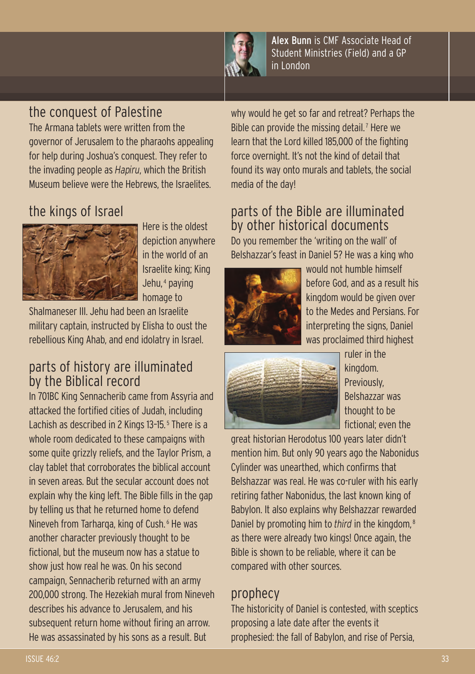

Alex Bunn is CMF Associate Head of Student Ministries (Field) and a GP in London

### the conquest of Palestine

The Armana tablets were written from the governor of Jerusalem to the pharaohs appealing for help during Joshua's conquest. They refer to the invading people as *Hapiru*, which the British Museum believe were the Hebrews, the Israelites.

# the kings of Israel



Here is the oldest depiction anywhere in the world of an Israelite king; King Jehu, <sup>4</sup> paying homage to

Shalmaneser III. Jehu had been an Israelite military captain, instructed by Elisha to oust the rebellious King Ahab, and end idolatry in Israel.

### parts of history are illuminated by the Biblical record

In 701BC King Sennacherib came from Assyria and attacked the fortified cities of Judah, including Lachish as described in 2 Kings 13-15.<sup>5</sup> There is a whole room dedicated to these campaigns with some quite grizzly reliefs, and the Taylor Prism, a clay tablet that corroborates the biblical account in seven areas. But the secular account does not explain why the king left. The Bible fills in the gap by telling us that he returned home to defend Nineveh from Tarharqa, king of Cush. <sup>6</sup> He was another character previously thought to be fictional, but the museum now has a statue to show just how real he was. On his second campaign, Sennacherib returned with an army 200,000 strong. The Hezekiah mural from Nineveh describes his advance to Jerusalem, and his subsequent return home without firing an arrow. He was assassinated by his sons as a result. But

why would he get so far and retreat? Perhaps the Bible can provide the missing detail.<sup>7</sup> Here we learn that the Lord killed 185,000 of the fighting force overnight. It's not the kind of detail that found its way onto murals and tablets, the social media of the day!

## parts of the Bible are illuminated by other historical documents

Do you remember the 'writing on the wall' of Belshazzar's feast in Daniel 5? He was a king who



would not humble himself before God, and as a result his kingdom would be given over to the Medes and Persians. For interpreting the signs, Daniel was proclaimed third highest



ruler in the kingdom. Previously, Belshazzar was thought to be fictional; even the

great historian Herodotus 100 years later didn't mention him. But only 90 years ago the Nabonidus Cylinder was unearthed, which confirms that Belshazzar was real. He was co-ruler with his early retiring father Nabonidus, the last known king of Babylon. It also explains why Belshazzar rewarded Daniel by promoting him to *third* in the kingdom, <sup>8</sup> as there were already two kings! Once again, the Bible is shown to be reliable, where it can be compared with other sources.

#### prophecy

The historicity of Daniel is contested, with sceptics proposing a late date after the events it prophesied: the fall of Babylon, and rise of Persia,